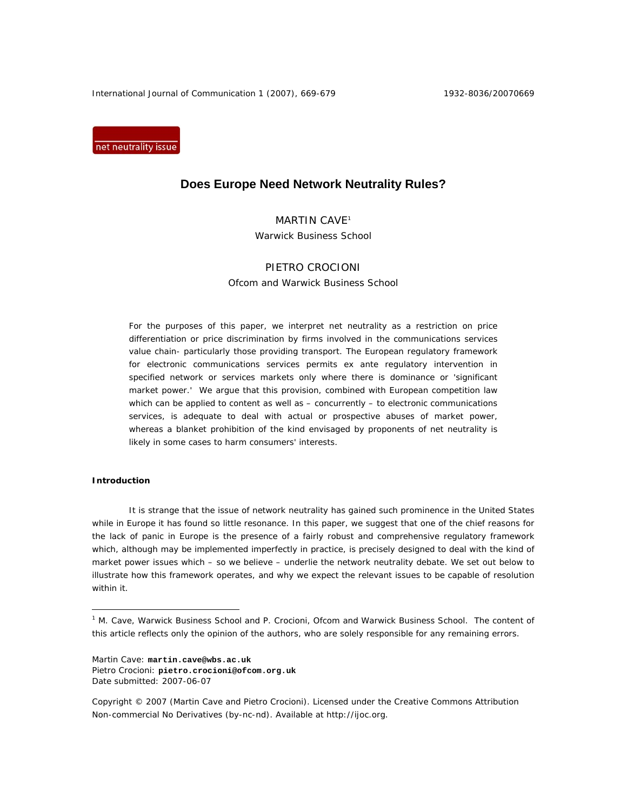International Journal of Communication 1 (2007), 669-679 1932-8036/20070669

net neutrality issue

# **Does Europe Need Network Neutrality Rules?**

# MARTIN CAVE<sup>1</sup> Warwick Business School

# PIETRO CROCIONI

Ofcom and Warwick Business School

For the purposes of this paper, we interpret net neutrality as a restriction on price differentiation or price discrimination by firms involved in the communications services value chain- particularly those providing transport. The European regulatory framework for electronic communications services permits *ex ante* regulatory intervention in specified network or services markets only where there is dominance or 'significant market power.' We argue that this provision, combined with European competition law which can be applied to content as well as – concurrently – to electronic communications services, is adequate to deal with actual or prospective abuses of market power, whereas a blanket prohibition of the kind envisaged by proponents of net neutrality is likely in some cases to harm consumers' interests.

# **Introduction**

 $\overline{a}$ 

It is strange that the issue of network neutrality has gained such prominence in the United States while in Europe it has found so little resonance. In this paper, we suggest that one of the chief reasons for the lack of panic in Europe is the presence of a fairly robust and comprehensive regulatory framework which, although may be implemented imperfectly in practice, is precisely designed to deal with the kind of market power issues which – so we believe – underlie the network neutrality debate. We set out below to illustrate how this framework operates, and why we expect the relevant issues to be capable of resolution within it.

Martin Cave: **martin.cave@wbs.ac.uk** Pietro Crocioni: **pietro.crocioni@ofcom.org.uk** Date submitted: 2007-06-07

<sup>&</sup>lt;sup>1</sup> M. Cave, Warwick Business School and P. Crocioni, Ofcom and Warwick Business School. The content of this article reflects only the opinion of the authors, who are solely responsible for any remaining errors.

Copyright © 2007 (Martin Cave and Pietro Crocioni). Licensed under the Creative Commons Attribution Non-commercial No Derivatives (by-nc-nd). Available at http://ijoc.org.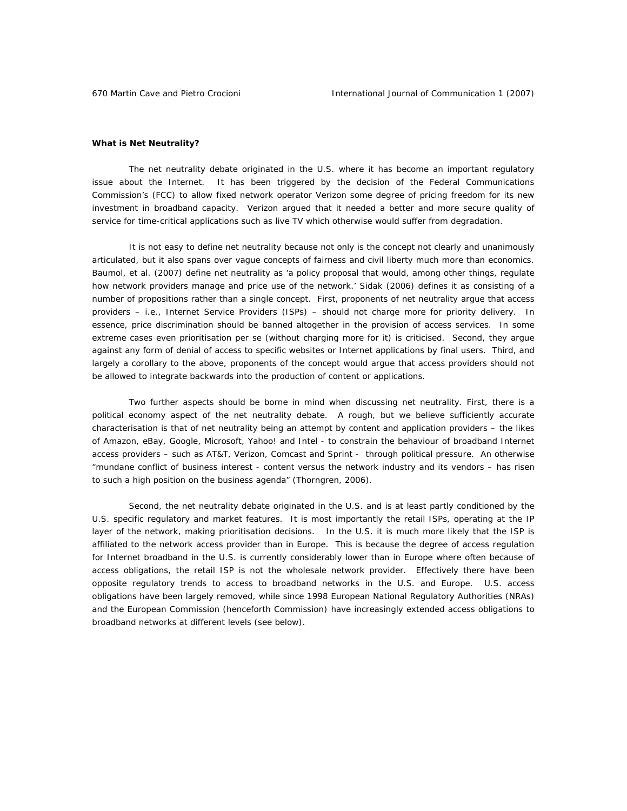## **What is Net Neutrality?**

The net neutrality debate originated in the U.S. where it has become an important regulatory issue about the Internet. It has been triggered by the decision of the Federal Communications Commission's (FCC) to allow fixed network operator Verizon some degree of pricing freedom for its new investment in broadband capacity. Verizon argued that it needed a better and more secure quality of service for time-critical applications such as live TV which otherwise would suffer from degradation.

It is not easy to define net neutrality because not only is the concept not clearly and unanimously articulated, but it also spans over vague concepts of fairness and civil liberty much more than economics. Baumol, *et al.* (2007) define net neutrality as 'a policy proposal that would, among other things, regulate how network providers manage and price use of the network.' Sidak (2006) defines it as consisting of a number of propositions rather than a single concept. First, proponents of net neutrality argue that access providers – i.e., Internet Service Providers (ISPs) – should not charge more for priority delivery. In essence, price discrimination should be banned altogether in the provision of access services. In some extreme cases even prioritisation *per se* (without charging more for it) is criticised. Second, they argue against any form of denial of access to specific websites or Internet applications by final users. Third, and largely a corollary to the above, proponents of the concept would argue that access providers should not be allowed to integrate backwards into the production of content or applications.

Two further aspects should be borne in mind when discussing net neutrality. First, there is a political economy aspect of the net neutrality debate. A rough, but we believe sufficiently accurate characterisation is that of net neutrality being an attempt by content and application providers – the likes of Amazon, eBay, Google, Microsoft, Yahoo! and Intel - to constrain the behaviour of broadband Internet access providers – such as AT&T, Verizon, Comcast and Sprint - through political pressure. An otherwise *"mundane conflict of business interest - content versus the network industry and its vendors – has risen to such a high position on the business agenda"* (Thorngren, 2006).

Second, the net neutrality debate originated in the U.S. and is at least partly conditioned by the U.S. specific regulatory and market features. It is most importantly the retail ISPs, operating at the IP layer of the network, making prioritisation decisions. In the U.S. it is much more likely that the ISP is affiliated to the network access provider than in Europe. This is because the degree of access regulation for Internet broadband in the U.S. is currently considerably lower than in Europe where often because of access obligations, the retail ISP is not the wholesale network provider. Effectively there have been opposite regulatory trends to access to broadband networks in the U.S. and Europe. U.S. access obligations have been largely removed, while since 1998 European National Regulatory Authorities (NRAs) and the European Commission (henceforth Commission) have increasingly extended access obligations to broadband networks at different levels (see below).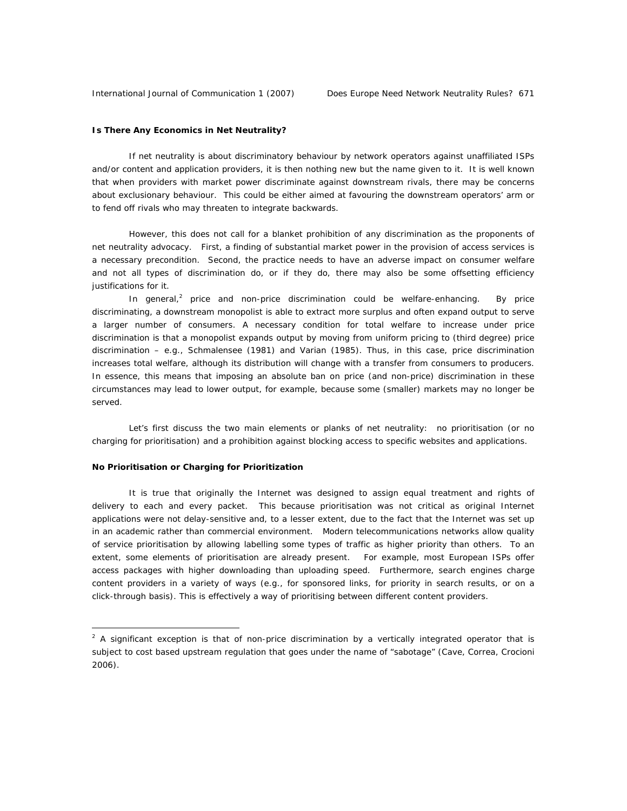# **Is There Any Economics in Net Neutrality?**

If net neutrality is about discriminatory behaviour by network operators against unaffiliated ISPs and/or content and application providers, it is then nothing new but the name given to it. It is well known that when providers with market power discriminate against downstream rivals, there may be concerns about exclusionary behaviour. This could be either aimed at favouring the downstream operators' arm or to fend off rivals who may threaten to integrate backwards.

However, this does not call for a blanket prohibition of any discrimination as the proponents of net neutrality advocacy. First, a finding of substantial market power in the provision of access services is a necessary precondition. Second, the practice needs to have an adverse impact on consumer welfare and not all types of discrimination do, or if they do, there may also be some offsetting efficiency justifications for it.

In general,<sup>2</sup> price and non-price discrimination could be welfare-enhancing. By price discriminating, a downstream monopolist is able to extract more surplus and often expand output to serve a larger number of consumers. A necessary condition for total welfare to increase under price discrimination is that a monopolist expands output by moving from uniform pricing to (third degree) price discrimination – e.g., Schmalensee (1981) and Varian (1985). Thus, in this case, price discrimination increases total welfare, although its distribution will change with a transfer from consumers to producers. In essence, this means that imposing an absolute ban on price (and non-price) discrimination in these circumstances may lead to lower output, for example, because some (smaller) markets may no longer be served.

Let's first discuss the two main elements or planks of net neutrality: no prioritisation (or no charging for prioritisation) and a prohibition against blocking access to specific websites and applications.

# **No Prioritisation or Charging for Prioritization**

 $\overline{a}$ 

It is true that originally the Internet was designed to assign equal treatment and rights of delivery to each and every packet. This because prioritisation was not critical as original Internet applications were not delay-sensitive and, to a lesser extent, due to the fact that the Internet was set up in an academic rather than commercial environment. Modern telecommunications networks allow quality of service prioritisation by allowing labelling some types of traffic as higher priority than others. To an extent, some elements of prioritisation are already present. For example, most European ISPs offer access packages with higher downloading than uploading speed. Furthermore, search engines charge content providers in a variety of ways (e.g., for sponsored links, for priority in search results, or on a click-through basis). This is effectively a way of prioritising between different content providers.

 $2$  A significant exception is that of non-price discrimination by a vertically integrated operator that is subject to cost based upstream regulation that goes under the name of "sabotage" (Cave, Correa, Crocioni 2006).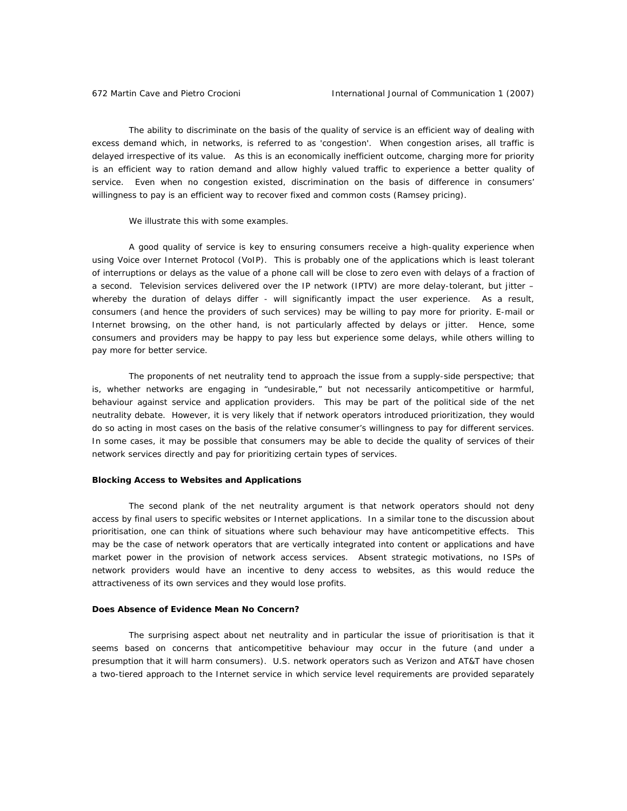The ability to discriminate on the basis of the quality of service is an efficient way of dealing with excess demand which, in networks, is referred to as 'congestion'. When congestion arises, all traffic is delayed irrespective of its value. As this is an economically inefficient outcome, charging more for priority is an efficient way to ration demand and allow highly valued traffic to experience a better quality of service. Even when no congestion existed, discrimination on the basis of difference in consumers' willingness to pay is an efficient way to recover fixed and common costs (Ramsey pricing).

We illustrate this with some examples.

A good quality of service is key to ensuring consumers receive a high-quality experience when using Voice over Internet Protocol (VoIP). This is probably one of the applications which is least tolerant of interruptions or delays as the value of a phone call will be close to zero even with delays of a fraction of a second. Television services delivered over the IP network (IPTV) are more delay-tolerant, but jitter – whereby the duration of delays differ - will significantly impact the user experience. As a result, consumers (and hence the providers of such services) may be willing to pay more for priority. E-mail or Internet browsing, on the other hand, is not particularly affected by delays or jitter. Hence, some consumers and providers may be happy to pay less but experience some delays, while others willing to pay more for better service.

The proponents of net neutrality tend to approach the issue from a supply-side perspective; that is, whether networks are engaging in "undesirable," but not necessarily anticompetitive or harmful, behaviour against service and application providers. This may be part of the political side of the net neutrality debate. However, it is very likely that if network operators introduced prioritization, they would do so acting in most cases on the basis of the relative consumer's willingness to pay for different services. In some cases, it may be possible that consumers may be able to decide the quality of services of their network services directly and pay for prioritizing certain types of services.

#### **Blocking Access to Websites and Applications**

The second plank of the net neutrality argument is that network operators should not deny access by final users to specific websites or Internet applications. In a similar tone to the discussion about prioritisation, one can think of situations where such behaviour may have anticompetitive effects. This may be the case of network operators that are vertically integrated into content or applications and have market power in the provision of network access services. Absent strategic motivations, no ISPs of network providers would have an incentive to deny access to websites, as this would reduce the attractiveness of its own services and they would lose profits.

### **Does Absence of Evidence Mean No Concern?**

The surprising aspect about net neutrality and in particular the issue of prioritisation is that it seems based on concerns that anticompetitive behaviour may occur in the future (and under a presumption that it will harm consumers). U.S. network operators such as Verizon and AT&T have chosen a two-tiered approach to the Internet service in which service level requirements are provided separately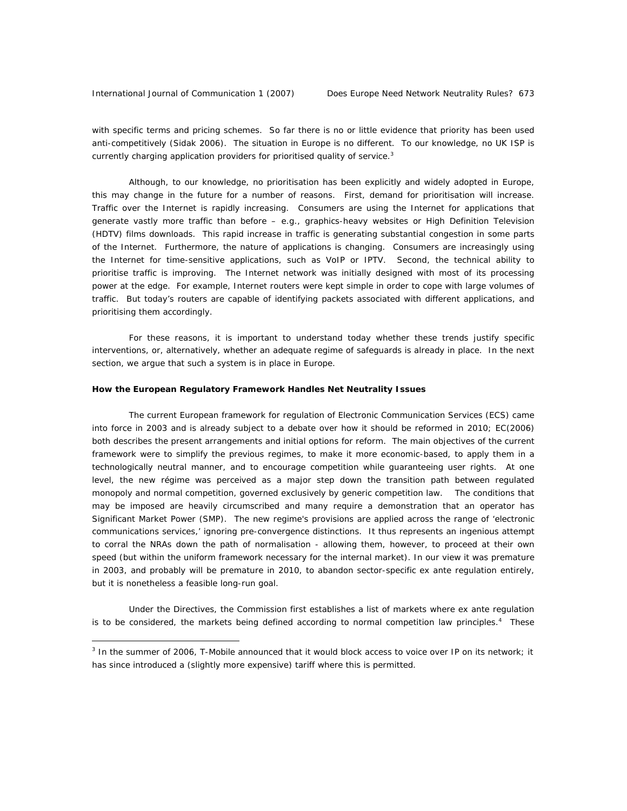$\overline{a}$ 

with specific terms and pricing schemes. So far there is no or little evidence that priority has been used anti-competitively (Sidak 2006). The situation in Europe is no different. To our knowledge, no UK ISP is currently charging application providers for prioritised quality of service.<sup>3</sup>

Although, to our knowledge, no prioritisation has been explicitly and widely adopted in Europe, this may change in the future for a number of reasons. First, demand for prioritisation will increase. Traffic over the Internet is rapidly increasing. Consumers are using the Internet for applications that generate vastly more traffic than before – e.g., graphics-heavy websites or High Definition Television (HDTV) films downloads. This rapid increase in traffic is generating substantial congestion in some parts of the Internet. Furthermore, the nature of applications is changing. Consumers are increasingly using the Internet for time-sensitive applications, such as VoIP or IPTV. Second, the technical ability to prioritise traffic is improving. The Internet network was initially designed with most of its processing power at the edge. For example, Internet routers were kept simple in order to cope with large volumes of traffic. But today's routers are capable of identifying packets associated with different applications, and prioritising them accordingly.

For these reasons, it is important to understand today whether these trends justify specific interventions, or, alternatively, whether an adequate regime of safeguards is already in place. In the next section, we argue that such a system is in place in Europe.

# **How the European Regulatory Framework Handles Net Neutrality Issues**

The current European framework for regulation of Electronic Communication Services (ECS) came into force in 2003 and is already subject to a debate over how it should be reformed in 2010; EC(2006) both describes the present arrangements and initial options for reform. The main objectives of the current framework were to simplify the previous regimes, to make it more economic-based, to apply them in a technologically neutral manner, and to encourage competition while guaranteeing user rights. At one level, the new régime was perceived as a major step down the transition path between regulated monopoly and normal competition, governed exclusively by generic competition law. The conditions that may be imposed are heavily circumscribed and many require a demonstration that an operator has Significant Market Power (SMP). The new regime's provisions are applied across the range of 'electronic communications services,' ignoring pre-convergence distinctions. It thus represents an ingenious attempt to corral the NRAs down the path of normalisation - allowing them, however, to proceed at their own speed (but within the uniform framework necessary for the internal market). In our view it was premature in 2003, and probably will be premature in 2010, to abandon sector-specific *ex ante* regulation entirely, but it is nonetheless a feasible long-run goal.

Under the Directives, the Commission first establishes a list of markets where *ex ante* regulation is to be considered, the markets being defined according to normal competition law principles.<sup>4</sup> These

<sup>&</sup>lt;sup>3</sup> In the summer of 2006, T-Mobile announced that it would block access to voice over IP on its network; it has since introduced a (slightly more expensive) tariff where this is permitted.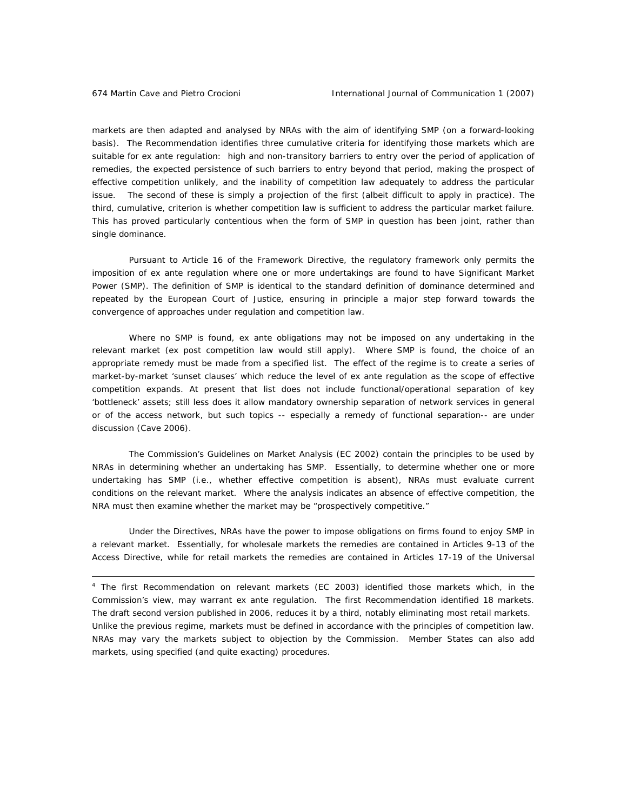$\overline{a}$ 

markets are then adapted and analysed by NRAs with the aim of identifying SMP (on a forward-looking basis). The Recommendation identifies three cumulative criteria for identifying those markets which are suitable for *ex ante* regulation: high and non-transitory barriers to entry over the period of application of remedies, the expected persistence of such barriers to entry beyond that period, making the prospect of effective competition unlikely, and the inability of competition law adequately to address the particular issue. The second of these is simply a projection of the first (albeit difficult to apply in practice). The third, cumulative, criterion is whether competition law is sufficient to address the particular market failure. This has proved particularly contentious when the form of SMP in question has been joint, rather than single dominance.

Pursuant to Article 16 of the Framework Directive, the regulatory framework only permits the imposition of *ex ante* regulation where one or more undertakings are found to have Significant Market Power (SMP). The definition of SMP is identical to the standard definition of dominance determined and repeated by the European Court of Justice, ensuring in principle a major step forward towards the convergence of approaches under regulation and competition law.

Where no SMP is found, *ex ante* obligations may not be imposed on any undertaking in the relevant market (*ex post* competition law would still apply). Where SMP is found, the choice of an appropriate remedy must be made from a specified list. The effect of the regime is to create a series of market-by-market 'sunset clauses' which reduce the level of *ex ante* regulation as the scope of effective competition expands. At present that list does not include functional/operational separation of key 'bottleneck' assets; still less does it allow mandatory ownership separation of network services in general or of the access network, but such topics -- especially a remedy of functional separation-- are under discussion (Cave 2006).

The Commission's *Guidelines on Market Analysis* (EC 2002) contain the principles to be used by NRAs in determining whether an undertaking has SMP. Essentially, to determine whether one or more undertaking has SMP (i.e., whether effective competition is absent), NRAs must evaluate current conditions on the relevant market. Where the analysis indicates an absence of effective competition, the NRA must then examine whether the market may be "prospectively competitive."

Under the Directives, NRAs have the power to impose obligations on firms found to enjoy SMP in a relevant market. Essentially, for wholesale markets the remedies are contained in Articles 9-13 of the Access Directive, while for retail markets the remedies are contained in Articles 17-19 of the Universal

4 The first *Recommendation on relevant markets (EC 2003)* identified those markets which, in the Commission's view, may warrant *ex ante* regulation. The first Recommendation identified 18 markets. The draft second version published in 2006, reduces it by a third, notably eliminating most retail markets*.*  Unlike the previous regime, markets must be defined in accordance with the principles of competition law. NRAs may vary the markets subject to objection by the Commission. Member States can also add markets, using specified (and quite exacting) procedures.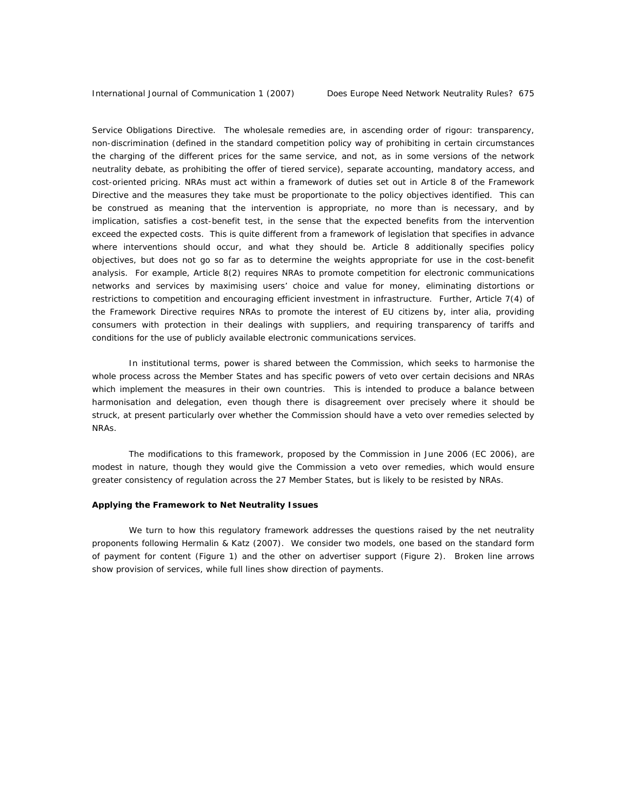Service Obligations Directive. The wholesale remedies are, in ascending order of rigour: transparency, non-discrimination (defined in the standard competition policy way of prohibiting in certain circumstances the charging of the different prices for the same service, and not, as in some versions of the network neutrality debate, as prohibiting the offer of tiered service), separate accounting, mandatory access, and cost-oriented pricing. NRAs must act within a framework of duties set out in Article 8 of the Framework Directive and the measures they take must be proportionate to the policy objectives identified. This can be construed as meaning that the intervention is appropriate, no more than is necessary, and by implication, satisfies a cost-benefit test, in the sense that the expected benefits from the intervention exceed the expected costs. This is quite different from a framework of legislation that specifies in advance where interventions should occur, and what they should be. Article 8 additionally specifies policy objectives, but does not go so far as to determine the weights appropriate for use in the cost-benefit analysis. For example, Article 8(2) requires NRAs to promote competition for electronic communications networks and services by maximising users' choice and value for money, eliminating distortions or restrictions to competition and encouraging efficient investment in infrastructure. Further, Article 7(4) of the Framework Directive requires NRAs to promote the interest of EU citizens by, *inter alia*, providing consumers with protection in their dealings with suppliers, and requiring transparency of tariffs and conditions for the use of publicly available electronic communications services.

In institutional terms, power is shared between the Commission, which seeks to harmonise the whole process across the Member States and has specific powers of veto over certain decisions and NRAs which implement the measures in their own countries. This is intended to produce a balance between harmonisation and delegation, even though there is disagreement over precisely where it should be struck, at present particularly over whether the Commission should have a veto over remedies selected by NRAs.

The modifications to this framework, proposed by the Commission in June 2006 (EC 2006), are modest in nature, though they would give the Commission a veto over remedies, which would ensure greater consistency of regulation across the 27 Member States, but is likely to be resisted by NRAs.

# **Applying the Framework to Net Neutrality Issues**

We turn to how this regulatory framework addresses the questions raised by the net neutrality proponents following Hermalin & Katz (2007). We consider two models, one based on the standard form of payment for content (Figure 1) and the other on advertiser support (Figure 2). Broken line arrows show provision of services, while full lines show direction of payments.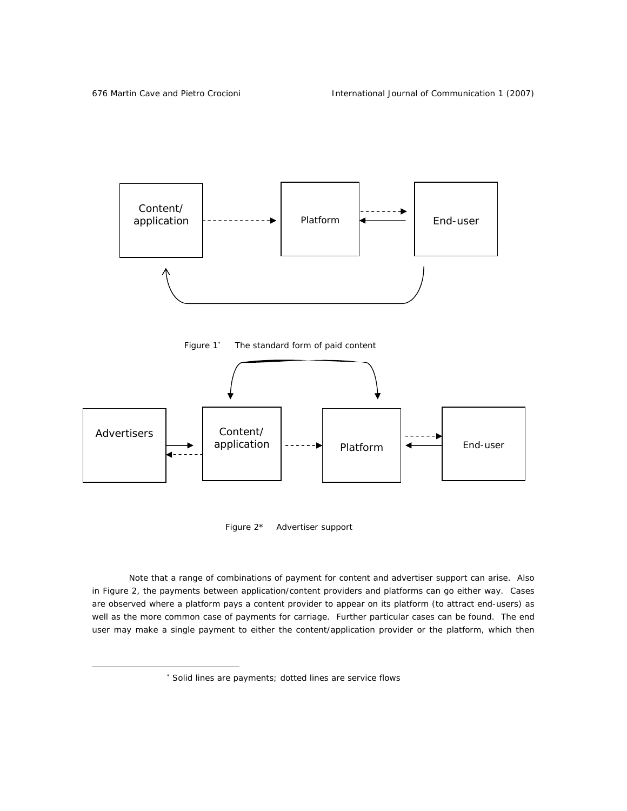$\overline{a}$ 







Figure 2\* Advertiser support

Note that a range of combinations of payment for content and advertiser support can arise. Also in Figure 2, the payments between application/content providers and platforms can go either way. Cases are observed where a platform pays a content provider to appear on its platform (to attract end-users) as well as the more common case of payments for carriage. Further particular cases can be found. The end user may make a single payment to either the content/application provider or the platform, which then

<sup>∗</sup> Solid lines are payments; dotted lines are service flows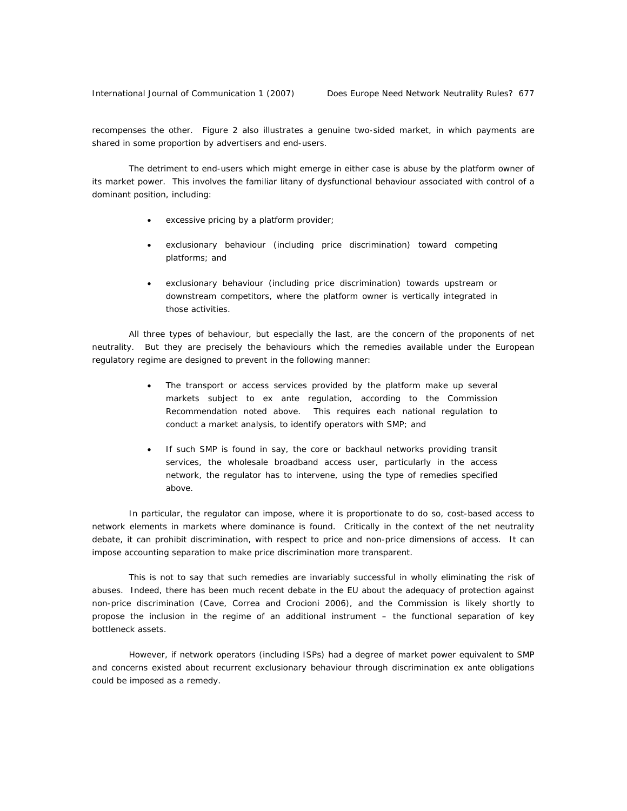recompenses the other. Figure 2 also illustrates a genuine two-sided market, in which payments are shared in some proportion by advertisers and end-users.

The detriment to end-users which might emerge in either case is abuse by the platform owner of its market power. This involves the familiar litany of dysfunctional behaviour associated with control of a dominant position, including:

- excessive pricing by a platform provider;
- exclusionary behaviour (including price discrimination) toward competing platforms; and
- exclusionary behaviour (including price discrimination) towards upstream or downstream competitors, where the platform owner is vertically integrated in those activities.

All three types of behaviour, but especially the last, are the concern of the proponents of net neutrality. But they are precisely the behaviours which the remedies available under the European regulatory regime are designed to prevent in the following manner:

- The transport or access services provided by the platform make up several markets subject to *ex ante* regulation, according to the Commission Recommendation noted above. This requires each national regulation to conduct a market analysis, to identify operators with SMP; and
- If such SMP is found in say, the core or backhaul networks providing transit services, the wholesale broadband access user, particularly in the access network, the regulator has to intervene, using the type of remedies specified above.

In particular, the regulator can impose, where it is proportionate to do so, cost-based access to network elements in markets where dominance is found. Critically in the context of the net neutrality debate, it can prohibit discrimination, with respect to price and non-price dimensions of access. It can impose accounting separation to make price discrimination more transparent.

This is not to say that such remedies are invariably successful in wholly eliminating the risk of abuses. Indeed, there has been much recent debate in the EU about the adequacy of protection against non-price discrimination (Cave, Correa and Crocioni 2006), and the Commission is likely shortly to propose the inclusion in the regime of an additional instrument – the functional separation of key bottleneck assets.

However, if network operators (including ISPs) had a degree of market power equivalent to SMP and concerns existed about recurrent exclusionary behaviour through discrimination *ex ante* obligations could be imposed as a remedy.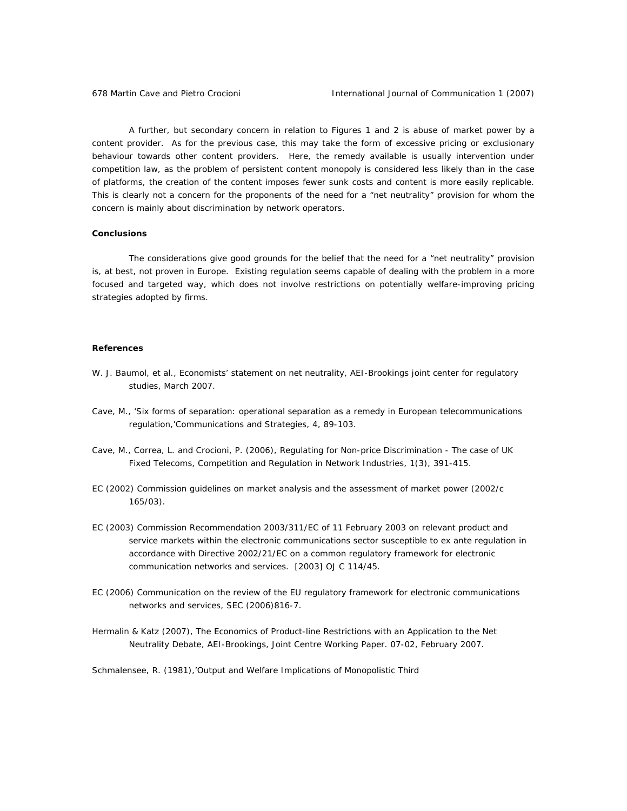A further, but secondary concern in relation to Figures 1 and 2 is abuse of market power by a content provider. As for the previous case, this may take the form of excessive pricing or exclusionary behaviour towards other content providers. Here, the remedy available is usually intervention under competition law, as the problem of persistent content monopoly is considered less likely than in the case of platforms, the creation of the content imposes fewer sunk costs and content is more easily replicable. This is clearly not a concern for the proponents of the need for a "net neutrality" provision for whom the concern is mainly about discrimination by network operators.

## **Conclusions**

The considerations give good grounds for the belief that the need for a "net neutrality" provision is, at best, not proven in Europe. Existing regulation seems capable of dealing with the problem in a more focused and targeted way, which does not involve restrictions on potentially welfare-improving pricing strategies adopted by firms.

#### **References**

- W. J. Baumol, et al.*, Economists' statement on net neutrality*, AEI-Brookings joint center for regulatory studies, March 2007.
- Cave, M., 'Six forms of separation: operational separation as a remedy in European telecommunications regulation,'*Communications and Strategies,* 4, 89-103.
- Cave, M., Correa, L. and Crocioni, P. (2006), Regulating for Non-price Discrimination The case of UK Fixed Telecoms, *Competition and Regulation in Network Industries*, 1(3), 391-415.
- EC (2002) *Commission guidelines on market analysis and the assessment of market power* (2002/c 165/03).
- EC (2003) *Commission Recommendation 2003/311/EC of 11 February 2003 on relevant product and service markets within the electronic communications sector susceptible to ex ante regulation in accordance with Directive 2002/21/EC on a common regulatory framework for electronic communication networks and services*. [2003] OJ C 114/45.
- EC (2006) *Communication on the review of the EU regulatory framework for electronic communications networks and services, SEC (2006)816-7.*
- Hermalin & Katz (2007), *The Economics of Product-line Restrictions with an Application to the Net Neutrality Debate,* AEI-Brookings, Joint Centre Working Paper. 07-02, February 2007.

Schmalensee, R. (1981),'Output and Welfare Implications of Monopolistic Third